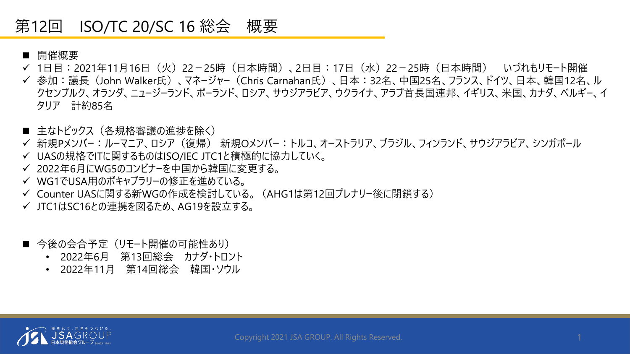### 第12回 ISO/TC 20/SC 16 総会 概要

- 開催概要
- ✔ 1日目:2021年11月16日(火)22-25時(日本時間)、2日目:17日(水)22-25時(日本時間) いづれもリモート開催
- 参加:議長(John Walker氏)、マネージャー(Chris Carnahan氏)、日本:32名、中国25名、フランス、ドイツ、日本、韓国12名、ル クセンブルク、オランダ、ニュージーランド、ポーランド、ロシア、サウジアラビア、ウクライナ、アラブ首長国連邦、イギリス、米国、カナダ、ベルギー、イ タリア 計約85名
- 主なトピックス(各規格審議の進捗を除く)
- 新規Pメンバー:ルーマニア、ロシア(復帰) 新規Oメンバー:トルコ、オーストラリア、ブラジル、フィンランド、サウジアラビア、シンガポール
- UASの規格でITに関するものはISO/IEC JTC1と積極的に協力していく。
- 2022年6月にWG5のコンビナーを中国から韓国に変更する。
- WG1でUSA用のボキャブラリーの修正を進めている。
- Counter UASに関する新WGの作成を検討している。(AHG1は第12回プレナリー後に閉鎖する)
- JTC1はSC16との連携を図るため、AG19を設立する。
- 今後の会合予定(リモート開催の可能性あり)
	- 2022年6月 第13回総会 カナダ・トロント
	- 2022年11月 第14回総会 韓国・ソウル

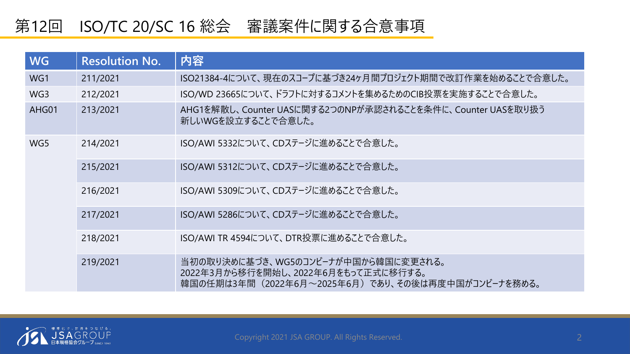# 第12回 ISO/TC 20/SC 16 総会 審議案件に関する合意事項

| <b>WG</b>       | <b>Resolution No.</b> | 内容                                                                                                                              |  |
|-----------------|-----------------------|---------------------------------------------------------------------------------------------------------------------------------|--|
| WG1             | 211/2021              | ISO21384-4について、現在のスコープに基づき24ヶ月間プロジェクト期間で改訂作業を始めることで合意した。                                                                        |  |
| WG <sub>3</sub> | 212/2021              | ISO/WD 23665について、ドラフトに対するコメントを集めるためのCIB投票を実施することで合意した。                                                                          |  |
| AHG01           | 213/2021              | AHG1を解散し、Counter UASに関する2つのNPが承認されることを条件に、Counter UASを取り扱う<br>新しいWGを設立することで合意した。                                                |  |
| WG5             | 214/2021              | ISO/AWI 5332について、CDステージに進めることで合意した。                                                                                             |  |
|                 | 215/2021              | ISO/AWI 5312について、CDステージに進めることで合意した。                                                                                             |  |
|                 | 216/2021              | ISO/AWI 5309について、CDステージに進めることで合意した。                                                                                             |  |
|                 | 217/2021              | ISO/AWI 5286について、CDステージに進めることで合意した。                                                                                             |  |
|                 | 218/2021              | ISO/AWI TR 4594について、DTR投票に進めることで合意した。                                                                                           |  |
|                 | 219/2021              | 当初の取り決めに基づき、WG5のコンビーナが中国から韓国に変更される。<br>2022年3月から移行を開始し、2022年6月をもって正式に移行する。<br>韓国の任期は3年間(2022年6月~2025年6月)であり、その後は再度中国がコンビーナを務める。 |  |

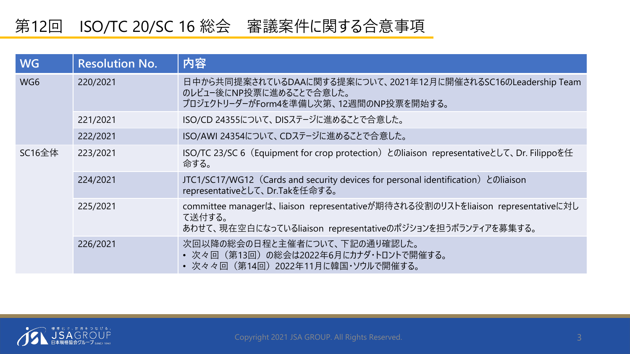# 第12回 ISO/TC 20/SC 16 総会 審議案件に関する合意事項

| <b>WG</b> | <b>Resolution No.</b> | 内容                                                                                                                                                      |
|-----------|-----------------------|---------------------------------------------------------------------------------------------------------------------------------------------------------|
| WG6       | 220/2021              | 日中から共同提案されているDAAに関する提案について、2021年12月に開催されるSC16のLeadership Team<br>のレビュー後にNP投票に進めることで合意した。<br>プロジェクトリーダーがForm4を準備し次第、12週間のNP投票を開始する。                      |
|           | 221/2021              | ISO/CD 24355について、DISステージに進めることで合意した。                                                                                                                    |
|           | 222/2021              | ISO/AWI 24354について、CDステージに進めることで合意した。                                                                                                                    |
| SC16全体    | 223/2021              | ISO/TC 23/SC 6 (Equipment for crop protection) とのliaison representativeとして、Dr. Filippoを任<br>命する。                                                        |
|           | 224/2021              | JTC1/SC17/WG12 (Cards and security devices for personal identification) とのliaison<br>representativeとして、Dr.Takを任命する。                                     |
|           | 225/2021              | committee managerは、liaison representativeが期待される役割のリストをliaison representativeに対し<br>て送付する。<br>あわせて、現在空白になっているliaison representativeのポジションを担うボランティアを募集する。 |
|           | 226/2021              | 次回以降の総会の日程と主催者について、下記の通り確認した。<br>• 次々回(第13回)の総会は2022年6月にカナダ・トロントで開催する。<br>• 次々々回 (第14回) 2022年11月に韓国・ソウルで開催する。                                           |

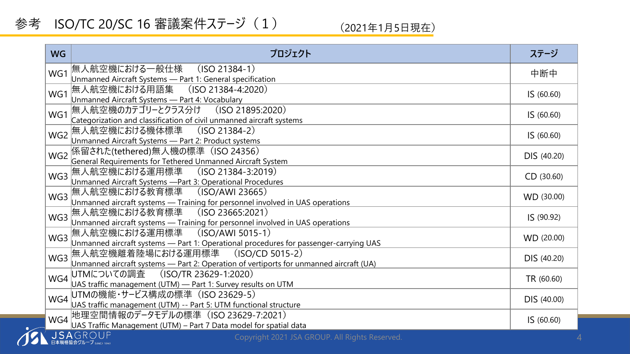### 参考 ISO/TC 20/SC 16 審議案件ステージ (1)

(2021年1月5日現在)

| <b>WG</b>       | プロジェクト                                                                                                                           | ステージ        |
|-----------------|----------------------------------------------------------------------------------------------------------------------------------|-------------|
| WG1             | 無人航空機における一般仕様   (ISO 21384-1)<br>Unmanned Aircraft Systems - Part 1: General specification                                       | 中断中         |
| WG1             | 無人航空機における用語集 (ISO 21384-4:2020)<br>Unmanned Aircraft Systems - Part 4: Vocabulary                                                | IS(60.60)   |
| WG1             | 無人航空機のカテゴリーとクラス分け (ISO 21895:2020)<br>Categorization and classification of civil unmanned aircraft systems                       | IS (60.60)  |
| WG <sub>2</sub> | 無人航空機における機体標準 <br>$(ISO 21384-2)$<br>Unmanned Aircraft Systems - Part 2: Product systems                                         | IS (60.60)  |
| WG <sub>2</sub> | 係留された(tethered)無人機の標準 (ISO 24356)<br>General Requirements for Tethered Unmanned Aircraft System                                  | DIS (40.20) |
| WG3             | 無人航空機における運用標準 (ISO 21384-3:2019)<br>Unmanned Aircraft Systems -Part 3: Operational Procedures                                    | CD(30.60)   |
| WG3             | 無人航空機における教育標準 (ISO/AWI 23665)<br>Unmanned aircraft systems - Training for personnel involved in UAS operations                   | WD (30.00)  |
|                 | WG3 無人航空機における教育標準 (ISO 23665:2021)<br>Unmanned aircraft systems - Training for personnel involved in UAS operations              | IS (90.92)  |
|                 | WG3 無人航空機における運用標準 (ISO/AWI 5015-1)<br>Unmanned aircraft systems - Part 1: Operational procedures for passenger-carrying UAS      | WD (20.00)  |
| WG3             | 無人航空機離着陸場における運用標準<br>$(ISO/CD 5015-2)$<br>Unmanned aircraft systems - Part 2: Operation of vertiports for unmanned aircraft (UA) | DIS (40.20) |
| WG4             | (ISO/TR 23629-1:2020)<br>UTMについての調査<br>UAS traffic management (UTM) - Part 1: Survey results on UTM                              | TR (60.60)  |
| WG4             | UTMの機能・サービス構成の標準(ISO 23629-5)<br>UAS traffic management (UTM) -- Part 5: UTM functional structure                                | DIS (40.00) |
| WG4             | 地理空間情報のデータモデルの標準 (ISO 23629-7:2021)<br>UAS Traffic Management (UTM) - Part 7 Data model for spatial data                         | IS (60.60)  |
|                 | <b>JSA</b> GROUP<br>Copyright 2021 JSA GROUP. All Rights Reserved.<br>日本規格協会グループ SINCE 1945                                      |             |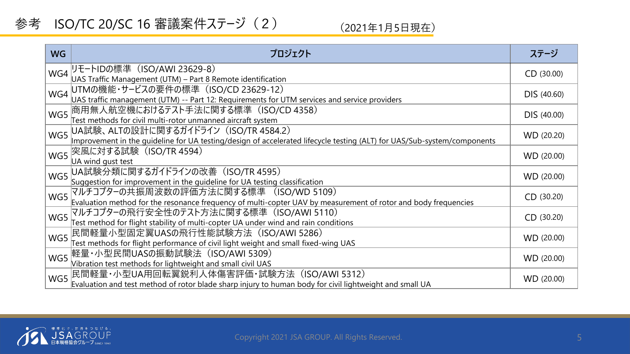### 参考 ISO/TC 20/SC 16 審議案件ステージ (2)

#### (2021年1月5日現在)

| <b>WG</b> | プロジェクト                                                                                                                                                           | ステージ       |  |
|-----------|------------------------------------------------------------------------------------------------------------------------------------------------------------------|------------|--|
|           | WG4 リモートIDの標準 (ISO/AWI 23629-8)<br>UAS Traffic Management (UTM) - Part 8 Remote identification                                                                   |            |  |
| WG4       | UTMの機能・サービスの要件の標準 (ISO/CD 23629-12)<br>UAS traffic management (UTM) -- Part 12: Requirements for UTM services and service providers                              |            |  |
| WG5       | 商用無人航空機におけるテスト手法に関する標準 (ISO/CD 4358)<br>Fest methods for civil multi-rotor unmanned aircraft system                                                              |            |  |
| WG5       | UA試験、ALTの設計に関するガイドライン (ISO/TR 4584.2)<br>Improvement in the quideline for UA testing/design of accelerated lifecycle testing (ALT) for UAS/Sub-system/components | WD (20.20) |  |
| WG5       | 突風に対する試験(ISO/TR 4594)<br>UA wind gust test                                                                                                                       | WD (20.00) |  |
| WG5       | UA試験分類に関するガイドラインの改善(ISO/TR 4595)<br>Suggestion for improvement in the guideline for UA testing classification                                                    | WD (20.00) |  |
| WG5       | マルチコプタ−の共振周波数の評価方法に関する標準 (ISO/WD 5109)<br>Evaluation method for the resonance frequency of multi-copter UAV by measurement of rotor and body frequencies         | CD (30.20) |  |
|           | WG5 7ルチコプターの飛行安全性のテスト方法に関する標準 (ISO/AWI 5110)<br>Test method for flight stability of multi-copter UA under wind and rain conditions                               | CD (30.20) |  |
| WG5       | 民間軽量小型固定翼UASの飛行性能試験方法 (ISO/AWI 5286)<br>Test methods for flight performance of civil light weight and small fixed-wing UAS                                       | WD (20.00) |  |
|           | WG5 軽量・小型民間UASの振動試験法 (ISO/AWI 5309)<br>Vibration test methods for lightweight and small civil UAS                                                                | WD (20.00) |  |
|           | WG5 民間軽量·小型UA用回転翼鋭利人体傷害評価·試験方法 (ISO/AWI 5312)<br>Evaluation and test method of rotor blade sharp injury to human body for civil lightweight and small UA         | WD (20.00) |  |